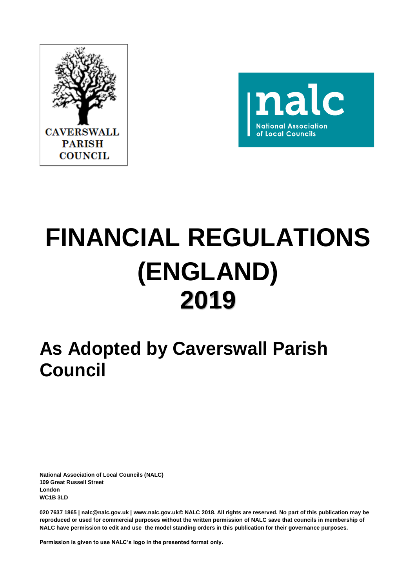



# **FINANCIAL REGULATIONS (ENGLAND) 2019**

## **As Adopted by Caverswall Parish Council**

**National Association of Local Councils (NALC) 109 Great Russell Street London WC1B 3LD**

**020 7637 1865 | nalc@nalc.gov.uk | www.nalc.gov.uk© NALC 2018. All rights are reserved. No part of this publication may be reproduced or used for commercial purposes without the written permission of NALC save that councils in membership of NALC have permission to edit and use the model standing orders in this publication for their governance purposes.** 

**Permission is given to use NALC's logo in the presented format only.**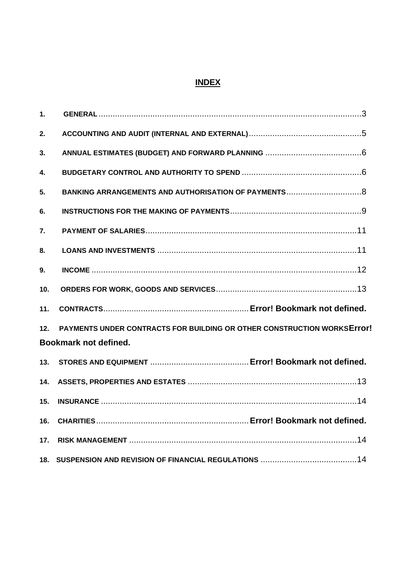### **INDEX**

| 1.  |                                                                                                                |  |  |
|-----|----------------------------------------------------------------------------------------------------------------|--|--|
| 2.  |                                                                                                                |  |  |
| 3.  |                                                                                                                |  |  |
| 4.  |                                                                                                                |  |  |
| 5.  |                                                                                                                |  |  |
| 6.  |                                                                                                                |  |  |
| 7.  |                                                                                                                |  |  |
| 8.  |                                                                                                                |  |  |
| 9.  |                                                                                                                |  |  |
| 10. |                                                                                                                |  |  |
| 11. |                                                                                                                |  |  |
| 12. | <b>PAYMENTS UNDER CONTRACTS FOR BUILDING OR OTHER CONSTRUCTION WORKSETTOT!</b><br><b>Bookmark not defined.</b> |  |  |
| 13. |                                                                                                                |  |  |
| 14. |                                                                                                                |  |  |
| 15. |                                                                                                                |  |  |
| 16. |                                                                                                                |  |  |
| 17. |                                                                                                                |  |  |
| 18. |                                                                                                                |  |  |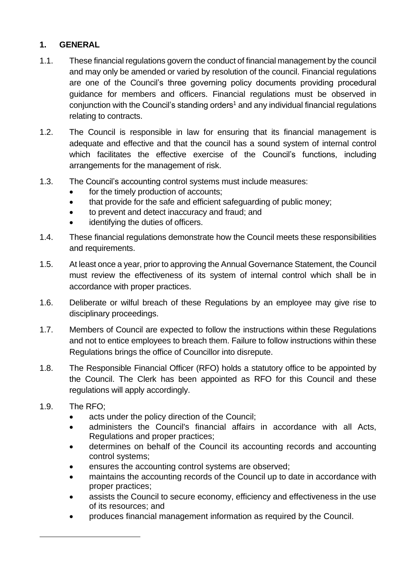#### <span id="page-2-0"></span>**1. GENERAL**

- 1.1. These financial regulations govern the conduct of financial management by the council and may only be amended or varied by resolution of the council. Financial regulations are one of the Council's three governing policy documents providing procedural guidance for members and officers. Financial regulations must be observed in conjunction with the Council's standing orders<sup>1</sup> and any individual financial regulations relating to contracts.
- 1.2. The Council is responsible in law for ensuring that its financial management is adequate and effective and that the council has a sound system of internal control which facilitates the effective exercise of the Council's functions, including arrangements for the management of risk.
- 1.3. The Council's accounting control systems must include measures:
	- for the timely production of accounts;
	- that provide for the safe and efficient safeguarding of public money;
	- to prevent and detect inaccuracy and fraud; and
	- identifying the duties of officers.
- 1.4. These financial regulations demonstrate how the Council meets these responsibilities and requirements.
- 1.5. At least once a year, prior to approving the Annual Governance Statement, the Council must review the effectiveness of its system of internal control which shall be in accordance with proper practices.
- 1.6. Deliberate or wilful breach of these Regulations by an employee may give rise to disciplinary proceedings.
- 1.7. Members of Council are expected to follow the instructions within these Regulations and not to entice employees to breach them. Failure to follow instructions within these Regulations brings the office of Councillor into disrepute.
- 1.8. The Responsible Financial Officer (RFO) holds a statutory office to be appointed by the Council. The Clerk has been appointed as RFO for this Council and these regulations will apply accordingly.
- 1.9. The RFO;
	- acts under the policy direction of the Council;
	- administers the Council's financial affairs in accordance with all Acts, Regulations and proper practices;
	- determines on behalf of the Council its accounting records and accounting control systems;
	- ensures the accounting control systems are observed;
	- maintains the accounting records of the Council up to date in accordance with proper practices;
	- assists the Council to secure economy, efficiency and effectiveness in the use of its resources; and
	- produces financial management information as required by the Council.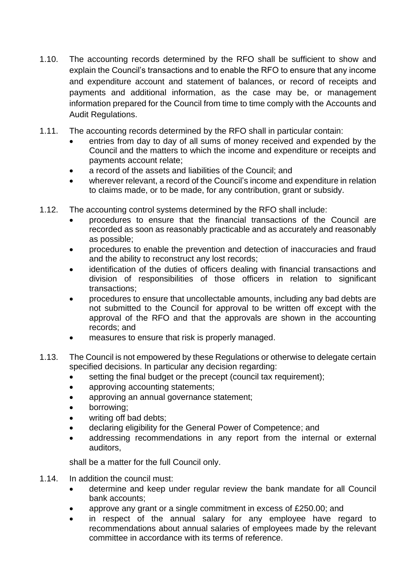- 1.10. The accounting records determined by the RFO shall be sufficient to show and explain the Council's transactions and to enable the RFO to ensure that any income and expenditure account and statement of balances, or record of receipts and payments and additional information, as the case may be, or management information prepared for the Council from time to time comply with the Accounts and Audit Regulations.
- 1.11. The accounting records determined by the RFO shall in particular contain:
	- entries from day to day of all sums of money received and expended by the Council and the matters to which the income and expenditure or receipts and payments account relate;
	- a record of the assets and liabilities of the Council; and
	- wherever relevant, a record of the Council's income and expenditure in relation to claims made, or to be made, for any contribution, grant or subsidy.
- 1.12. The accounting control systems determined by the RFO shall include:
	- procedures to ensure that the financial transactions of the Council are recorded as soon as reasonably practicable and as accurately and reasonably as possible;
	- procedures to enable the prevention and detection of inaccuracies and fraud and the ability to reconstruct any lost records;
	- identification of the duties of officers dealing with financial transactions and division of responsibilities of those officers in relation to significant transactions;
	- procedures to ensure that uncollectable amounts, including any bad debts are not submitted to the Council for approval to be written off except with the approval of the RFO and that the approvals are shown in the accounting records; and
	- measures to ensure that risk is properly managed.
- 1.13. The Council is not empowered by these Regulations or otherwise to delegate certain specified decisions. In particular any decision regarding:
	- setting the final budget or the precept (council tax requirement);
	- approving accounting statements;
	- approving an annual governance statement;
	- borrowing;
	- writing off bad debts:
	- declaring eligibility for the General Power of Competence; and
	- addressing recommendations in any report from the internal or external auditors,

shall be a matter for the full Council only.

- 1.14. In addition the council must:
	- determine and keep under regular review the bank mandate for all Council bank accounts;
	- approve any grant or a single commitment in excess of £250.00; and
	- in respect of the annual salary for any employee have regard to recommendations about annual salaries of employees made by the relevant committee in accordance with its terms of reference.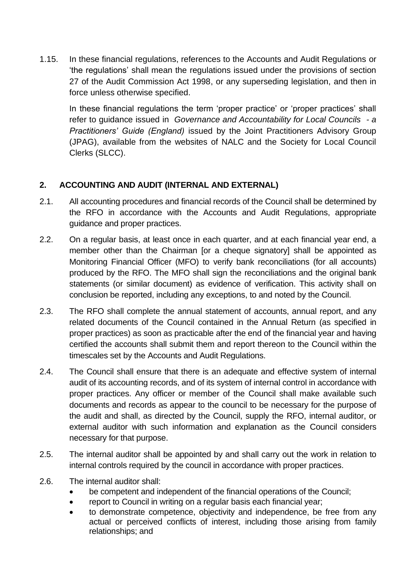1.15. In these financial regulations, references to the Accounts and Audit Regulations or 'the regulations' shall mean the regulations issued under the provisions of section 27 of the Audit Commission Act 1998, or any superseding legislation, and then in force unless otherwise specified.

In these financial regulations the term 'proper practice' or 'proper practices' shall refer to guidance issued in *Governance and Accountability for Local Councils - a Practitioners' Guide (England)* issued by the Joint Practitioners Advisory Group (JPAG), available from the websites of NALC and the Society for Local Council Clerks (SLCC).

#### <span id="page-4-0"></span>**2. ACCOUNTING AND AUDIT (INTERNAL AND EXTERNAL)**

- 2.1. All accounting procedures and financial records of the Council shall be determined by the RFO in accordance with the Accounts and Audit Regulations, appropriate guidance and proper practices.
- 2.2. On a regular basis, at least once in each quarter, and at each financial year end, a member other than the Chairman for a cheque signatoryl shall be appointed as Monitoring Financial Officer (MFO) to verify bank reconciliations (for all accounts) produced by the RFO. The MFO shall sign the reconciliations and the original bank statements (or similar document) as evidence of verification. This activity shall on conclusion be reported, including any exceptions, to and noted by the Council.
- 2.3. The RFO shall complete the annual statement of accounts, annual report, and any related documents of the Council contained in the Annual Return (as specified in proper practices) as soon as practicable after the end of the financial year and having certified the accounts shall submit them and report thereon to the Council within the timescales set by the Accounts and Audit Regulations.
- 2.4. The Council shall ensure that there is an adequate and effective system of internal audit of its accounting records, and of its system of internal control in accordance with proper practices. Any officer or member of the Council shall make available such documents and records as appear to the council to be necessary for the purpose of the audit and shall, as directed by the Council, supply the RFO, internal auditor, or external auditor with such information and explanation as the Council considers necessary for that purpose.
- 2.5. The internal auditor shall be appointed by and shall carry out the work in relation to internal controls required by the council in accordance with proper practices.
- 2.6. The internal auditor shall:
	- be competent and independent of the financial operations of the Council;
	- report to Council in writing on a regular basis each financial year;
	- to demonstrate competence, objectivity and independence, be free from any actual or perceived conflicts of interest, including those arising from family relationships; and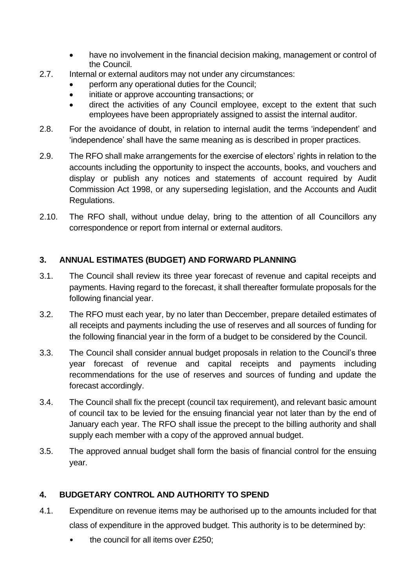- have no involvement in the financial decision making, management or control of the Council.
- 2.7. Internal or external auditors may not under any circumstances:
	- perform any operational duties for the Council;
	- initiate or approve accounting transactions; or
	- direct the activities of any Council employee, except to the extent that such employees have been appropriately assigned to assist the internal auditor.
- 2.8. For the avoidance of doubt, in relation to internal audit the terms 'independent' and 'independence' shall have the same meaning as is described in proper practices.
- 2.9. The RFO shall make arrangements for the exercise of electors' rights in relation to the accounts including the opportunity to inspect the accounts, books, and vouchers and display or publish any notices and statements of account required by Audit Commission Act 1998, or any superseding legislation, and the Accounts and Audit Regulations.
- 2.10. The RFO shall, without undue delay, bring to the attention of all Councillors any correspondence or report from internal or external auditors.

#### <span id="page-5-0"></span>**3. ANNUAL ESTIMATES (BUDGET) AND FORWARD PLANNING**

- 3.1. The Council shall review its three year forecast of revenue and capital receipts and payments. Having regard to the forecast, it shall thereafter formulate proposals for the following financial year.
- 3.2. The RFO must each year, by no later than Deccember, prepare detailed estimates of all receipts and payments including the use of reserves and all sources of funding for the following financial year in the form of a budget to be considered by the Council.
- 3.3. The Council shall consider annual budget proposals in relation to the Council's three year forecast of revenue and capital receipts and payments including recommendations for the use of reserves and sources of funding and update the forecast accordingly.
- 3.4. The Council shall fix the precept (council tax requirement), and relevant basic amount of council tax to be levied for the ensuing financial year not later than by the end of January each year. The RFO shall issue the precept to the billing authority and shall supply each member with a copy of the approved annual budget.
- 3.5. The approved annual budget shall form the basis of financial control for the ensuing year.

#### <span id="page-5-1"></span>**4. BUDGETARY CONTROL AND AUTHORITY TO SPEND**

- 4.1. Expenditure on revenue items may be authorised up to the amounts included for that class of expenditure in the approved budget. This authority is to be determined by:
	- the council for all items over £250;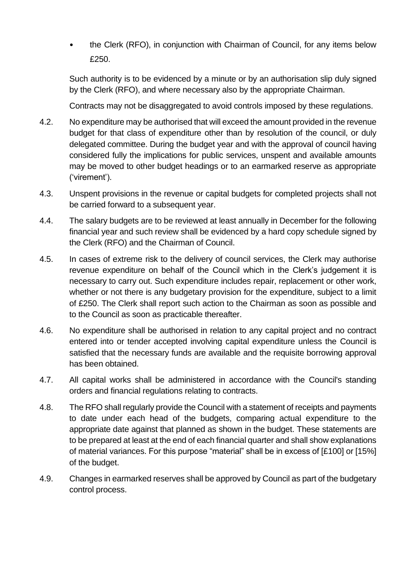• the Clerk (RFO), in conjunction with Chairman of Council, for any items below £250.

Such authority is to be evidenced by a minute or by an authorisation slip duly signed by the Clerk (RFO), and where necessary also by the appropriate Chairman.

Contracts may not be disaggregated to avoid controls imposed by these regulations.

- 4.2. No expenditure may be authorised that will exceed the amount provided in the revenue budget for that class of expenditure other than by resolution of the council, or duly delegated committee. During the budget year and with the approval of council having considered fully the implications for public services, unspent and available amounts may be moved to other budget headings or to an earmarked reserve as appropriate ('virement').
- 4.3. Unspent provisions in the revenue or capital budgets for completed projects shall not be carried forward to a subsequent year.
- 4.4. The salary budgets are to be reviewed at least annually in December for the following financial year and such review shall be evidenced by a hard copy schedule signed by the Clerk (RFO) and the Chairman of Council.
- 4.5. In cases of extreme risk to the delivery of council services, the Clerk may authorise revenue expenditure on behalf of the Council which in the Clerk's judgement it is necessary to carry out. Such expenditure includes repair, replacement or other work, whether or not there is any budgetary provision for the expenditure, subject to a limit of £250. The Clerk shall report such action to the Chairman as soon as possible and to the Council as soon as practicable thereafter.
- 4.6. No expenditure shall be authorised in relation to any capital project and no contract entered into or tender accepted involving capital expenditure unless the Council is satisfied that the necessary funds are available and the requisite borrowing approval has been obtained.
- 4.7. All capital works shall be administered in accordance with the Council's standing orders and financial regulations relating to contracts.
- 4.8. The RFO shall regularly provide the Council with a statement of receipts and payments to date under each head of the budgets, comparing actual expenditure to the appropriate date against that planned as shown in the budget. These statements are to be prepared at least at the end of each financial quarter and shall show explanations of material variances. For this purpose "material" shall be in excess of [£100] or [15%] of the budget.
- 4.9. Changes in earmarked reserves shall be approved by Council as part of the budgetary control process.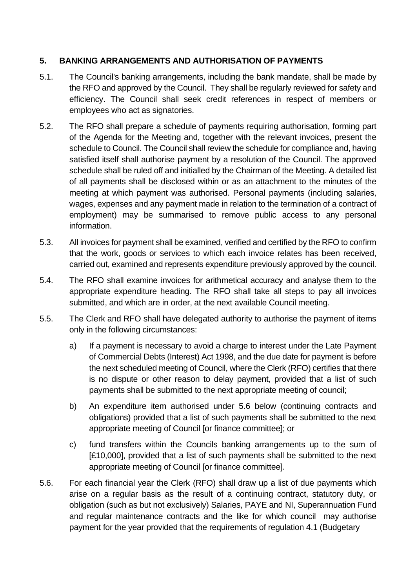#### <span id="page-7-0"></span>**5. BANKING ARRANGEMENTS AND AUTHORISATION OF PAYMENTS**

- 5.1. The Council's banking arrangements, including the bank mandate, shall be made by the RFO and approved by the Council. They shall be regularly reviewed for safety and efficiency. The Council shall seek credit references in respect of members or employees who act as signatories.
- 5.2. The RFO shall prepare a schedule of payments requiring authorisation, forming part of the Agenda for the Meeting and, together with the relevant invoices, present the schedule to Council. The Council shall review the schedule for compliance and, having satisfied itself shall authorise payment by a resolution of the Council. The approved schedule shall be ruled off and initialled by the Chairman of the Meeting. A detailed list of all payments shall be disclosed within or as an attachment to the minutes of the meeting at which payment was authorised. Personal payments (including salaries, wages, expenses and any payment made in relation to the termination of a contract of employment) may be summarised to remove public access to any personal information.
- 5.3. All invoices for payment shall be examined, verified and certified by the RFO to confirm that the work, goods or services to which each invoice relates has been received, carried out, examined and represents expenditure previously approved by the council.
- 5.4. The RFO shall examine invoices for arithmetical accuracy and analyse them to the appropriate expenditure heading. The RFO shall take all steps to pay all invoices submitted, and which are in order, at the next available Council meeting.
- 5.5. The Clerk and RFO shall have delegated authority to authorise the payment of items only in the following circumstances:
	- a) If a payment is necessary to avoid a charge to interest under the Late Payment of Commercial Debts (Interest) Act 1998, and the due date for payment is before the next scheduled meeting of Council, where the Clerk (RFO) certifies that there is no dispute or other reason to delay payment, provided that a list of such payments shall be submitted to the next appropriate meeting of council;
	- b) An expenditure item authorised under 5.6 below (continuing contracts and obligations) provided that a list of such payments shall be submitted to the next appropriate meeting of Council [or finance committee]; or
	- c) fund transfers within the Councils banking arrangements up to the sum of [£10,000], provided that a list of such payments shall be submitted to the next appropriate meeting of Council [or finance committee].
- 5.6. For each financial year the Clerk (RFO) shall draw up a list of due payments which arise on a regular basis as the result of a continuing contract, statutory duty, or obligation (such as but not exclusively) Salaries, PAYE and NI, Superannuation Fund and regular maintenance contracts and the like for which council may authorise payment for the year provided that the requirements of regulation 4.1 (Budgetary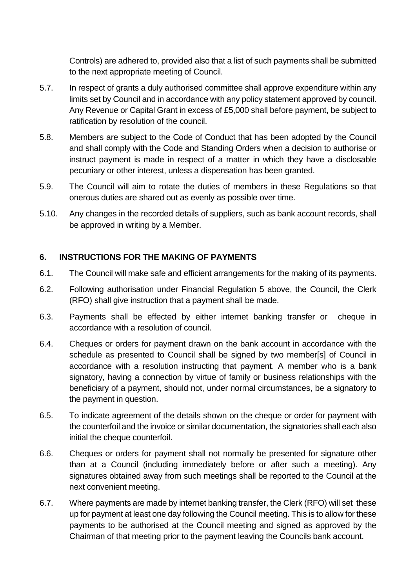Controls) are adhered to, provided also that a list of such payments shall be submitted to the next appropriate meeting of Council.

- 5.7. In respect of grants a duly authorised committee shall approve expenditure within any limits set by Council and in accordance with any policy statement approved by council. Any Revenue or Capital Grant in excess of £5,000 shall before payment, be subject to ratification by resolution of the council.
- 5.8. Members are subject to the Code of Conduct that has been adopted by the Council and shall comply with the Code and Standing Orders when a decision to authorise or instruct payment is made in respect of a matter in which they have a disclosable pecuniary or other interest, unless a dispensation has been granted.
- 5.9. The Council will aim to rotate the duties of members in these Regulations so that onerous duties are shared out as evenly as possible over time.
- 5.10. Any changes in the recorded details of suppliers, such as bank account records, shall be approved in writing by a Member.

#### <span id="page-8-0"></span>**6. INSTRUCTIONS FOR THE MAKING OF PAYMENTS**

- 6.1. The Council will make safe and efficient arrangements for the making of its payments.
- 6.2. Following authorisation under Financial Regulation 5 above, the Council, the Clerk (RFO) shall give instruction that a payment shall be made.
- 6.3. Payments shall be effected by either internet banking transfer or cheque in accordance with a resolution of council.
- 6.4. Cheques or orders for payment drawn on the bank account in accordance with the schedule as presented to Council shall be signed by two member[s] of Council in accordance with a resolution instructing that payment. A member who is a bank signatory, having a connection by virtue of family or business relationships with the beneficiary of a payment, should not, under normal circumstances, be a signatory to the payment in question.
- 6.5. To indicate agreement of the details shown on the cheque or order for payment with the counterfoil and the invoice or similar documentation, the signatories shall each also initial the cheque counterfoil.
- 6.6. Cheques or orders for payment shall not normally be presented for signature other than at a Council (including immediately before or after such a meeting). Any signatures obtained away from such meetings shall be reported to the Council at the next convenient meeting.
- 6.7. Where payments are made by internet banking transfer, the Clerk (RFO) will set these up for payment at least one day following the Council meeting. This is to allow for these payments to be authorised at the Council meeting and signed as approved by the Chairman of that meeting prior to the payment leaving the Councils bank account.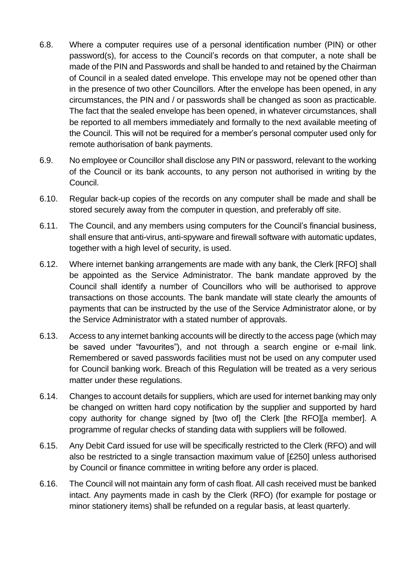- 6.8. Where a computer requires use of a personal identification number (PIN) or other password(s), for access to the Council's records on that computer, a note shall be made of the PIN and Passwords and shall be handed to and retained by the Chairman of Council in a sealed dated envelope. This envelope may not be opened other than in the presence of two other Councillors. After the envelope has been opened, in any circumstances, the PIN and / or passwords shall be changed as soon as practicable. The fact that the sealed envelope has been opened, in whatever circumstances, shall be reported to all members immediately and formally to the next available meeting of the Council. This will not be required for a member's personal computer used only for remote authorisation of bank payments.
- 6.9. No employee or Councillor shall disclose any PIN or password, relevant to the working of the Council or its bank accounts, to any person not authorised in writing by the Council.
- 6.10. Regular back-up copies of the records on any computer shall be made and shall be stored securely away from the computer in question, and preferably off site.
- 6.11. The Council, and any members using computers for the Council's financial business, shall ensure that anti-virus, anti-spyware and firewall software with automatic updates, together with a high level of security, is used.
- 6.12. Where internet banking arrangements are made with any bank, the Clerk [RFO] shall be appointed as the Service Administrator. The bank mandate approved by the Council shall identify a number of Councillors who will be authorised to approve transactions on those accounts. The bank mandate will state clearly the amounts of payments that can be instructed by the use of the Service Administrator alone, or by the Service Administrator with a stated number of approvals.
- 6.13. Access to any internet banking accounts will be directly to the access page (which may be saved under "favourites"), and not through a search engine or e-mail link. Remembered or saved passwords facilities must not be used on any computer used for Council banking work. Breach of this Regulation will be treated as a very serious matter under these regulations.
- 6.14. Changes to account details for suppliers, which are used for internet banking may only be changed on written hard copy notification by the supplier and supported by hard copy authority for change signed by [two of] the Clerk [the RFO][a member]. A programme of regular checks of standing data with suppliers will be followed.
- 6.15. Any Debit Card issued for use will be specifically restricted to the Clerk (RFO) and will also be restricted to a single transaction maximum value of [£250] unless authorised by Council or finance committee in writing before any order is placed.
- 6.16. The Council will not maintain any form of cash float. All cash received must be banked intact. Any payments made in cash by the Clerk (RFO) (for example for postage or minor stationery items) shall be refunded on a regular basis, at least quarterly.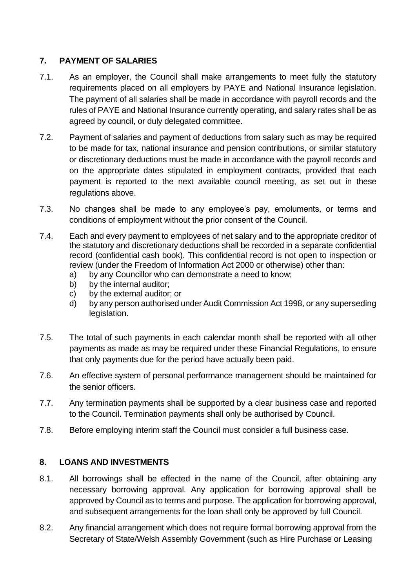#### <span id="page-10-0"></span>**7. PAYMENT OF SALARIES**

- 7.1. As an employer, the Council shall make arrangements to meet fully the statutory requirements placed on all employers by PAYE and National Insurance legislation. The payment of all salaries shall be made in accordance with payroll records and the rules of PAYE and National Insurance currently operating, and salary rates shall be as agreed by council, or duly delegated committee.
- 7.2. Payment of salaries and payment of deductions from salary such as may be required to be made for tax, national insurance and pension contributions, or similar statutory or discretionary deductions must be made in accordance with the payroll records and on the appropriate dates stipulated in employment contracts, provided that each payment is reported to the next available council meeting, as set out in these regulations above.
- 7.3. No changes shall be made to any employee's pay, emoluments, or terms and conditions of employment without the prior consent of the Council.
- 7.4. Each and every payment to employees of net salary and to the appropriate creditor of the statutory and discretionary deductions shall be recorded in a separate confidential record (confidential cash book). This confidential record is not open to inspection or review (under the Freedom of Information Act 2000 or otherwise) other than:
	- a) by any Councillor who can demonstrate a need to know;
	- b) by the internal auditor;
	- c) by the external auditor; or
	- d) by any person authorised under Audit Commission Act 1998, or any superseding legislation.
- 7.5. The total of such payments in each calendar month shall be reported with all other payments as made as may be required under these Financial Regulations, to ensure that only payments due for the period have actually been paid.
- 7.6. An effective system of personal performance management should be maintained for the senior officers.
- 7.7. Any termination payments shall be supported by a clear business case and reported to the Council. Termination payments shall only be authorised by Council.
- 7.8. Before employing interim staff the Council must consider a full business case.

#### <span id="page-10-1"></span>**8. LOANS AND INVESTMENTS**

- 8.1. All borrowings shall be effected in the name of the Council, after obtaining any necessary borrowing approval. Any application for borrowing approval shall be approved by Council as to terms and purpose. The application for borrowing approval, and subsequent arrangements for the loan shall only be approved by full Council.
- 8.2. Any financial arrangement which does not require formal borrowing approval from the Secretary of State/Welsh Assembly Government (such as Hire Purchase or Leasing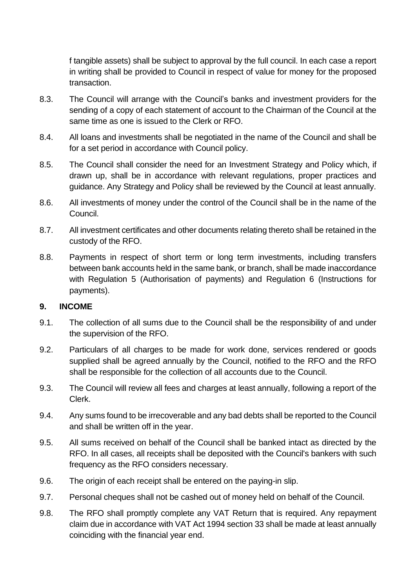f tangible assets) shall be subject to approval by the full council. In each case a report in writing shall be provided to Council in respect of value for money for the proposed transaction.

- 8.3. The Council will arrange with the Council's banks and investment providers for the sending of a copy of each statement of account to the Chairman of the Council at the same time as one is issued to the Clerk or RFO.
- 8.4. All loans and investments shall be negotiated in the name of the Council and shall be for a set period in accordance with Council policy.
- 8.5. The Council shall consider the need for an Investment Strategy and Policy which, if drawn up, shall be in accordance with relevant regulations, proper practices and guidance. Any Strategy and Policy shall be reviewed by the Council at least annually.
- 8.6. All investments of money under the control of the Council shall be in the name of the Council.
- 8.7. All investment certificates and other documents relating thereto shall be retained in the custody of the RFO.
- 8.8. Payments in respect of short term or long term investments, including transfers between bank accounts held in the same bank, or branch, shall be made inaccordance with Regulation 5 (Authorisation of payments) and Regulation 6 (Instructions for payments).

#### <span id="page-11-0"></span>**9. INCOME**

- 9.1. The collection of all sums due to the Council shall be the responsibility of and under the supervision of the RFO.
- 9.2. Particulars of all charges to be made for work done, services rendered or goods supplied shall be agreed annually by the Council, notified to the RFO and the RFO shall be responsible for the collection of all accounts due to the Council.
- 9.3. The Council will review all fees and charges at least annually, following a report of the Clerk.
- 9.4. Any sums found to be irrecoverable and any bad debts shall be reported to the Council and shall be written off in the year.
- 9.5. All sums received on behalf of the Council shall be banked intact as directed by the RFO. In all cases, all receipts shall be deposited with the Council's bankers with such frequency as the RFO considers necessary.
- 9.6. The origin of each receipt shall be entered on the paying-in slip.
- 9.7. Personal cheques shall not be cashed out of money held on behalf of the Council.
- 9.8. The RFO shall promptly complete any VAT Return that is required. Any repayment claim due in accordance with VAT Act 1994 section 33 shall be made at least annually coinciding with the financial year end.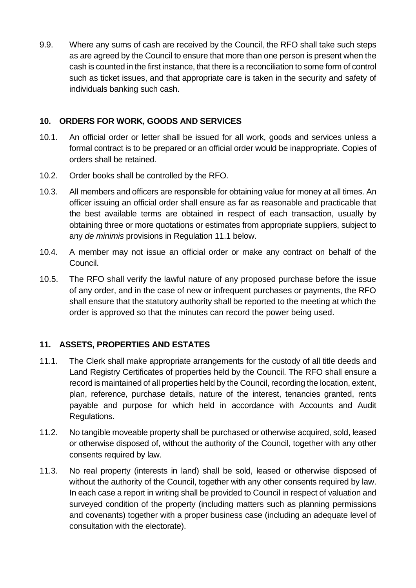9.9. Where any sums of cash are received by the Council, the RFO shall take such steps as are agreed by the Council to ensure that more than one person is present when the cash is counted in the first instance, that there is a reconciliation to some form of control such as ticket issues, and that appropriate care is taken in the security and safety of individuals banking such cash.

#### <span id="page-12-0"></span>**10. ORDERS FOR WORK, GOODS AND SERVICES**

- 10.1. An official order or letter shall be issued for all work, goods and services unless a formal contract is to be prepared or an official order would be inappropriate. Copies of orders shall be retained.
- 10.2. Order books shall be controlled by the RFO.
- 10.3. All members and officers are responsible for obtaining value for money at all times. An officer issuing an official order shall ensure as far as reasonable and practicable that the best available terms are obtained in respect of each transaction, usually by obtaining three or more quotations or estimates from appropriate suppliers, subject to any *de minimis* provisions in Regulation 11.1 below.
- 10.4. A member may not issue an official order or make any contract on behalf of the Council.
- 10.5. The RFO shall verify the lawful nature of any proposed purchase before the issue of any order, and in the case of new or infrequent purchases or payments, the RFO shall ensure that the statutory authority shall be reported to the meeting at which the order is approved so that the minutes can record the power being used.

#### <span id="page-12-1"></span>**11. ASSETS, PROPERTIES AND ESTATES**

- 11.1. The Clerk shall make appropriate arrangements for the custody of all title deeds and Land Registry Certificates of properties held by the Council. The RFO shall ensure a record is maintained of all properties held by the Council, recording the location, extent, plan, reference, purchase details, nature of the interest, tenancies granted, rents payable and purpose for which held in accordance with Accounts and Audit Regulations.
- 11.2. No tangible moveable property shall be purchased or otherwise acquired, sold, leased or otherwise disposed of, without the authority of the Council, together with any other consents required by law.
- 11.3. No real property (interests in land) shall be sold, leased or otherwise disposed of without the authority of the Council, together with any other consents required by law. In each case a report in writing shall be provided to Council in respect of valuation and surveyed condition of the property (including matters such as planning permissions and covenants) together with a proper business case (including an adequate level of consultation with the electorate).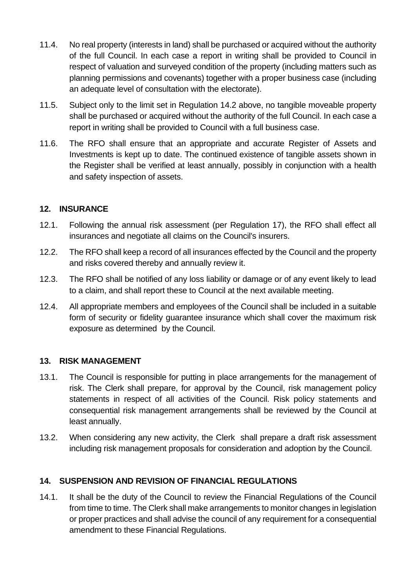- 11.4. No real property (interests in land) shall be purchased or acquired without the authority of the full Council. In each case a report in writing shall be provided to Council in respect of valuation and surveyed condition of the property (including matters such as planning permissions and covenants) together with a proper business case (including an adequate level of consultation with the electorate).
- 11.5. Subject only to the limit set in Regulation 14.2 above, no tangible moveable property shall be purchased or acquired without the authority of the full Council. In each case a report in writing shall be provided to Council with a full business case.
- 11.6. The RFO shall ensure that an appropriate and accurate Register of Assets and Investments is kept up to date. The continued existence of tangible assets shown in the Register shall be verified at least annually, possibly in conjunction with a health and safety inspection of assets.

#### <span id="page-13-0"></span>**12. INSURANCE**

- 12.1. Following the annual risk assessment (per Regulation 17), the RFO shall effect all insurances and negotiate all claims on the Council's insurers.
- 12.2. The RFO shall keep a record of all insurances effected by the Council and the property and risks covered thereby and annually review it.
- 12.3. The RFO shall be notified of any loss liability or damage or of any event likely to lead to a claim, and shall report these to Council at the next available meeting.
- 12.4. All appropriate members and employees of the Council shall be included in a suitable form of security or fidelity guarantee insurance which shall cover the maximum risk exposure as determined by the Council.

#### <span id="page-13-1"></span>**13. RISK MANAGEMENT**

- 13.1. The Council is responsible for putting in place arrangements for the management of risk. The Clerk shall prepare, for approval by the Council, risk management policy statements in respect of all activities of the Council. Risk policy statements and consequential risk management arrangements shall be reviewed by the Council at least annually.
- 13.2. When considering any new activity, the Clerk shall prepare a draft risk assessment including risk management proposals for consideration and adoption by the Council.

#### <span id="page-13-2"></span>**14. SUSPENSION AND REVISION OF FINANCIAL REGULATIONS**

14.1. It shall be the duty of the Council to review the Financial Regulations of the Council from time to time. The Clerk shall make arrangements to monitor changes in legislation or proper practices and shall advise the council of any requirement for a consequential amendment to these Financial Regulations.